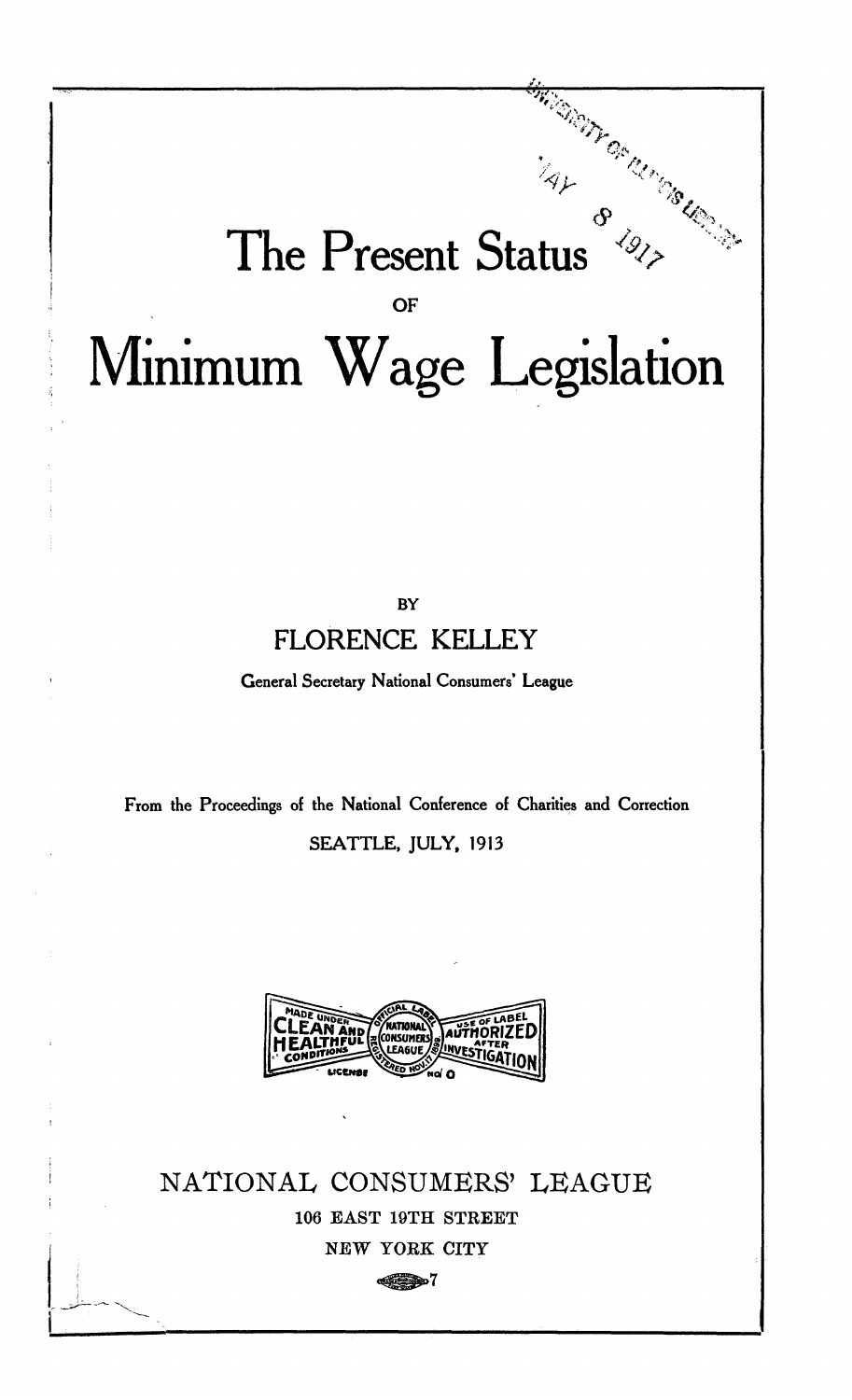## The Present Status  $\frac{z_{4}}{z_{4}}$  or  $z_{4}$ **OF**  Minimum Wage Legislation

**BY FLORENCE KELLEY** 

**General Secretary National Consumers' League** 

**From the Proceedings of the National Conference of Charities and Correction SEATTLE, JULY, 1913** 



NATIONAL CONSUMERS' LEAGUE 106 EAST 19TH STREET NEW YORK CITY

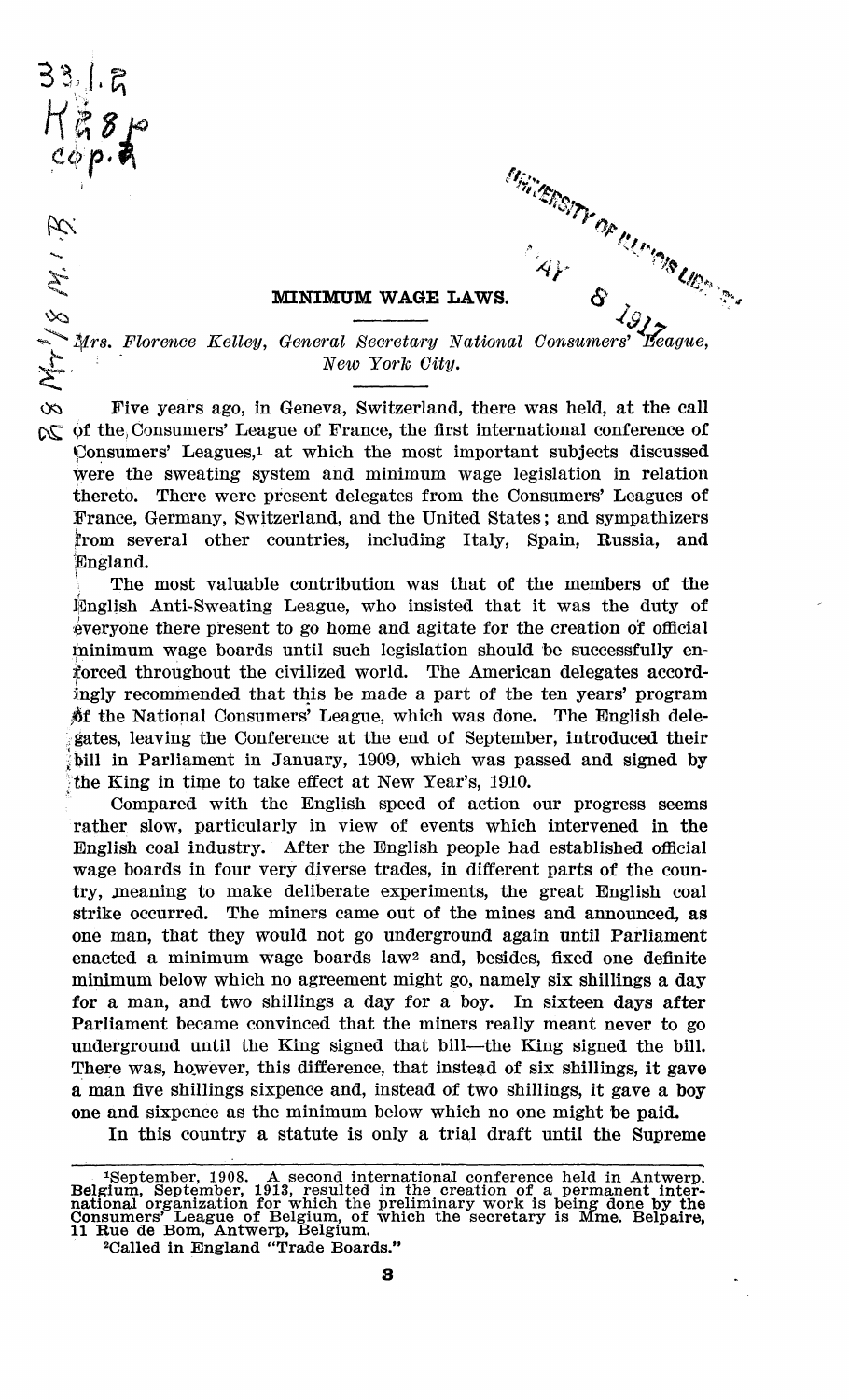$33.1.5$ 



## **MINIMUM WAGE LAWS.**

*New York City.*  Five years ago, in Geneva, Switzerland, there was held, at the call  $\alpha$  of the Consumers' League of France, the first international conference of Consumers' Leagues,<sup>1</sup> at which the most important subjects discussed were the sweating system and minimum wage legislation in relation thereto. There were present delegates from the Consumers' Leagues of France, Germany, Switzerland, and the United States; and sympathizers jfrom several other countries, including Italy, Spain, Russia, and JEngland.

*\* The most valuable contribution was that of the members of the English Anti-Sweating League, who insisted that it was the duty of everyone there present to go home and agitate for the creation of official lpainimum wage boards until such legislation should be successfully enforced throughout the civilized world. The American delegates accordingly recommended that this be made a part of the ten years' program \$f the National Consumers' League, which was done. The English delegates, leaving the Conference at the end of September, introduced their bill in Parliament in January, 1909, which was passed and signed by 5 the King in time to take effect at New Year's, 1910.

Compared with the English speed of action our progress seems rather slow, particularly in view of events which intervened in the English coal industry. After the English people had established official wage boards in four very diverse trades, in different parts of the country, jneaning to make deliberate experiments, the great English coal strike occurred. The miners came out of the mines and announced, as one man, that they would not go underground again until Parliament enacted a minimum wage boards law<sup>2</sup> and, besides, fixed one definite minimum below which no agreement might go, namely six shillings a day for a man, and two shillings a day for a boy. In sixteen days after Parliament became convinced that the miners really meant never to go underground until the King signed that bill—the King signed the bill. There was, however, this difference, that instead of six shillings, it gave a man five shillings sixpence and, instead of two shillings, it gave a boy one and sixpence as the minimum below which no one might be paid.

In this country a statute is only a trial draft until the Supreme

<sup>&</sup>lt;sup>1</sup>September, 1908. A second international conference held in Antwerp.<br>Belgium, September, 1913, resulted in the creation of a permanent international organization for which the preliminary work is being done by the<br>Consum

<sup>2</sup>Called in England "Trade Boards."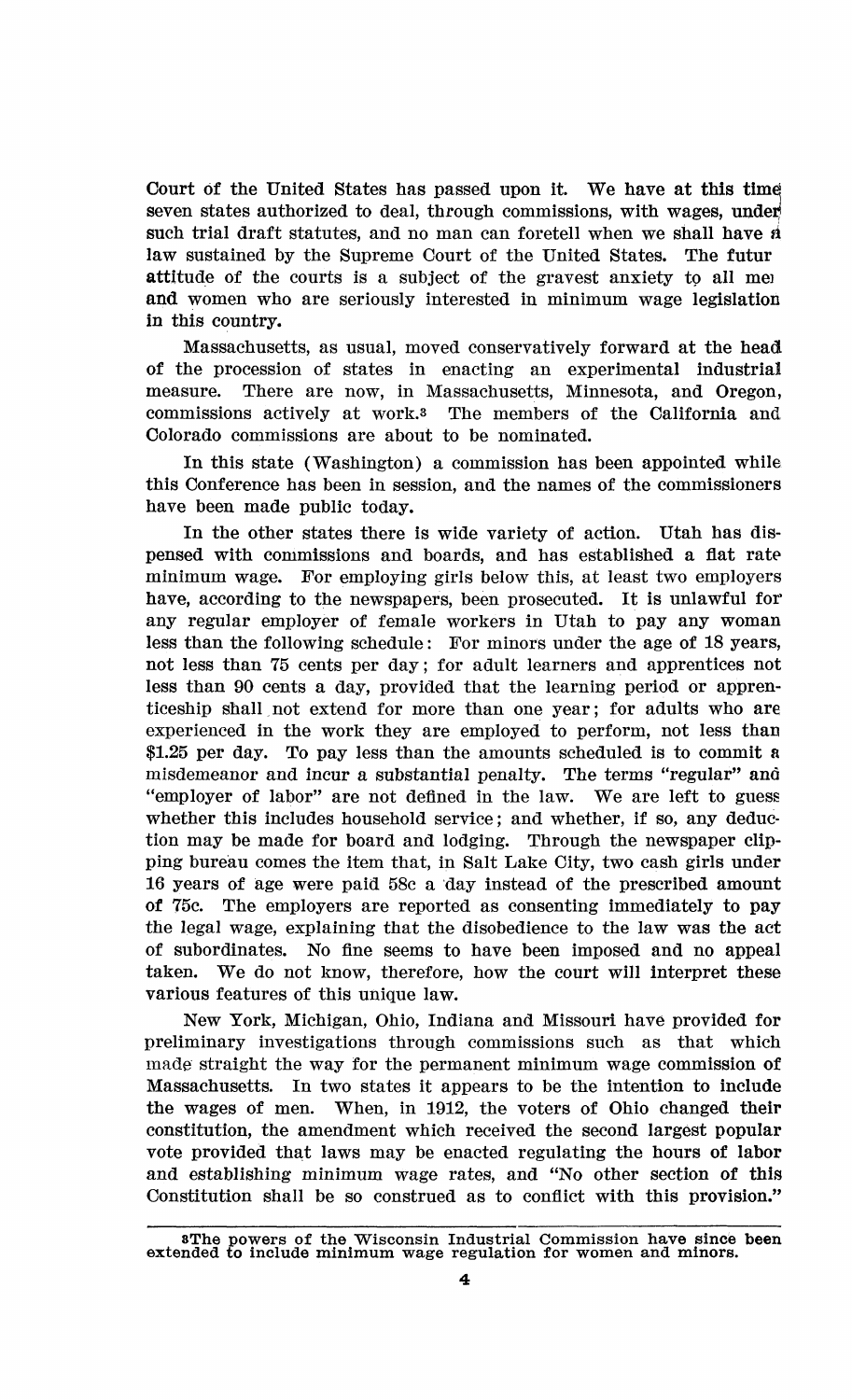Court of the United States has passed upon it. We have at this time seven states authorized to deal, through commissions, with wages, under) such trial draft statutes, and no man can foretell when we shall have *si*  law sustained by the Supreme Court of the United States. The futur attitude of the courts is a subject of the gravest anxiety to all mei and women who are seriously interested in minimum wage legislation in this country.

Massachusetts, as usual, moved conservatively forward at the head of the procession of states in enacting an experimental industrial measure. There are now, in Massachusetts, Minnesota, and Oregon, commissions actively at work.s The members of the California and Colorado commissions are about to be nominated.

In this state (Washington) a commission has been appointed while this Conference has been in session, and the names of the commissioners have been made public today.

In the other states there is wide variety of action. Utah has dispensed with commissions and boards, and has established a flat rate minimum wage. For employing girls below this, at least two employers have, according to the newspapers, been prosecuted. It is unlawful for any regular employer of female workers in Utah to pay any woman less than the following schedule: For minors under the age of 18 years, not less than 75 cents per day; for adult learners and apprentices not less than 90 cents a day, provided that the learning period or apprenticeship shall not extend for more than one year; for adults who are experienced in the work they are employed to perform, not less than \$1.25 per day. To pay less than the amounts scheduled is to commit a misdemeanor and incur a substantial penalty. The terms "regular" and "employer of labor" are not defined in the law. We are left to guess whether this includes household service; and whether, if so, any deduction may be made for board and lodging. Through the newspaper clipping bureau comes the item that, in Salt Lake City, two cash girls under 16 years of age were paid 58c a day instead of the prescribed amount of 75c. The employers are reported as consenting immediately to pay the legal wage, explaining that the disobedience to the law was the act of subordinates. No fine seems to have been imposed and no appeal taken. We do not know, therefore, how the court will interpret these various features of this unique law.

New York, Michigan, Ohio, Indiana and Missouri have provided for preliminary investigations through commissions such as that which made straight the way for the permanent minimum wage commission of Massachusetts. In two states it appears to be the intention to include the wages of men. When, in 1912, the voters of Ohio changed their constitution, the amendment which received the second largest popular vote provided that laws may be enacted regulating the hours of labor and establishing minimum wage rates, and "No other section of this Constitution shall be so construed as to conflict with this provision."

<sup>8</sup>The powers of the Wisconsin Industrial Commission have since been extended to include minimum wage regulation for women and minors.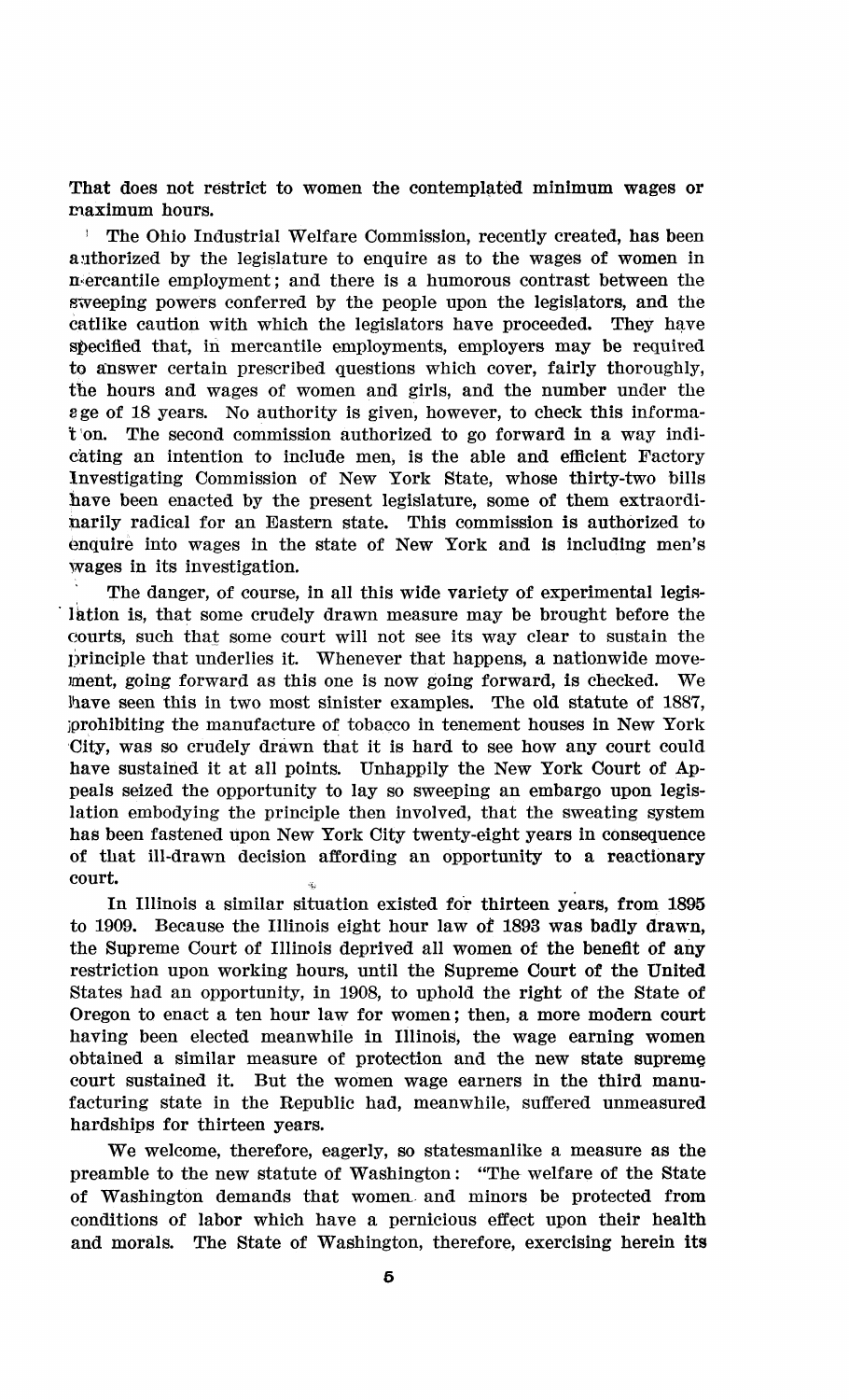That does not restrict to women the contemplated minimum wages or maximum hours.

! The Ohio Industrial Welfare Commission, recently created, has been authorized by the legislature to enquire as to the wages of women in mercantile employment; and there is a humorous contrast between the sweeping powers conferred by the people upon the legislators, and the catlike caution with which the legislators have proceeded. They have specified that, in mercantile employments, employers may be required to answer certain prescribed questions which cover, fairly thoroughly, the hours and wages of women and girls, and the number under the sge of 18 years. No authority is given, however, to check this informat on. The second commission authorized to go forward in a way indicating an intention to include men, is the able and efficient Factory Investigating Commission of New York State, whose thirty-two bills have been enacted by the present legislature, some of them extraordinarily radical for an Eastern state. This commission is authorized to enquire into wages in the state of New York and is including men's wages in its investigation.

The danger, of course, in all this wide variety of experimental legislation is, that some crudely drawn measure may be brought before the courts, such that some court will not see its way clear to sustain the principle that underlies it. Whenever that happens, a nationwide movement, going forward as this one is now going forward, is checked. We have seen this in two most sinister examples. The old statute of 1887, jprohibiting the manufacture of tobacco in tenement houses in New York City, was so crudely drawn that it is hard to see how any court could have sustained it at all points. Unhappily the New York Court of Appeals seized the opportunity to lay so sweeping an embargo upon legislation embodying the principle then involved, that the sweating system has been fastened upon New York City twenty-eight years in consequence of that ill-drawn decision affording an opportunity to a reactionary court.

In Illinois a similar situation existed for thirteen years, from 1895 to 1909. Because the Illinois eight hour law of 1893 was badly drawn, the Supreme Court of Illinois deprived all women of the benefit of any restriction upon working hours, until the Supreme Court of the United States had an opportunity, in 1908, to uphold the right of the State of Oregon to enact a ten hour law for women; then, a more modern court having been elected meanwhile in Illinois, the wage earning women obtained a similar measure of protection and the new state supreme, court sustained it. But the women wage earners in the third manufacturing state in the Republic had, meanwhile, suffered unmeasured hardships for thirteen years.

We welcome, therefore, eagerly, so statesmanlike a measure as the preamble to the new statute of Washington: "The welfare of the State of Washington demands that women, and minors be protected from conditions of labor which have a pernicious effect upon their health and morals. The State of Washington, therefore, exercising herein its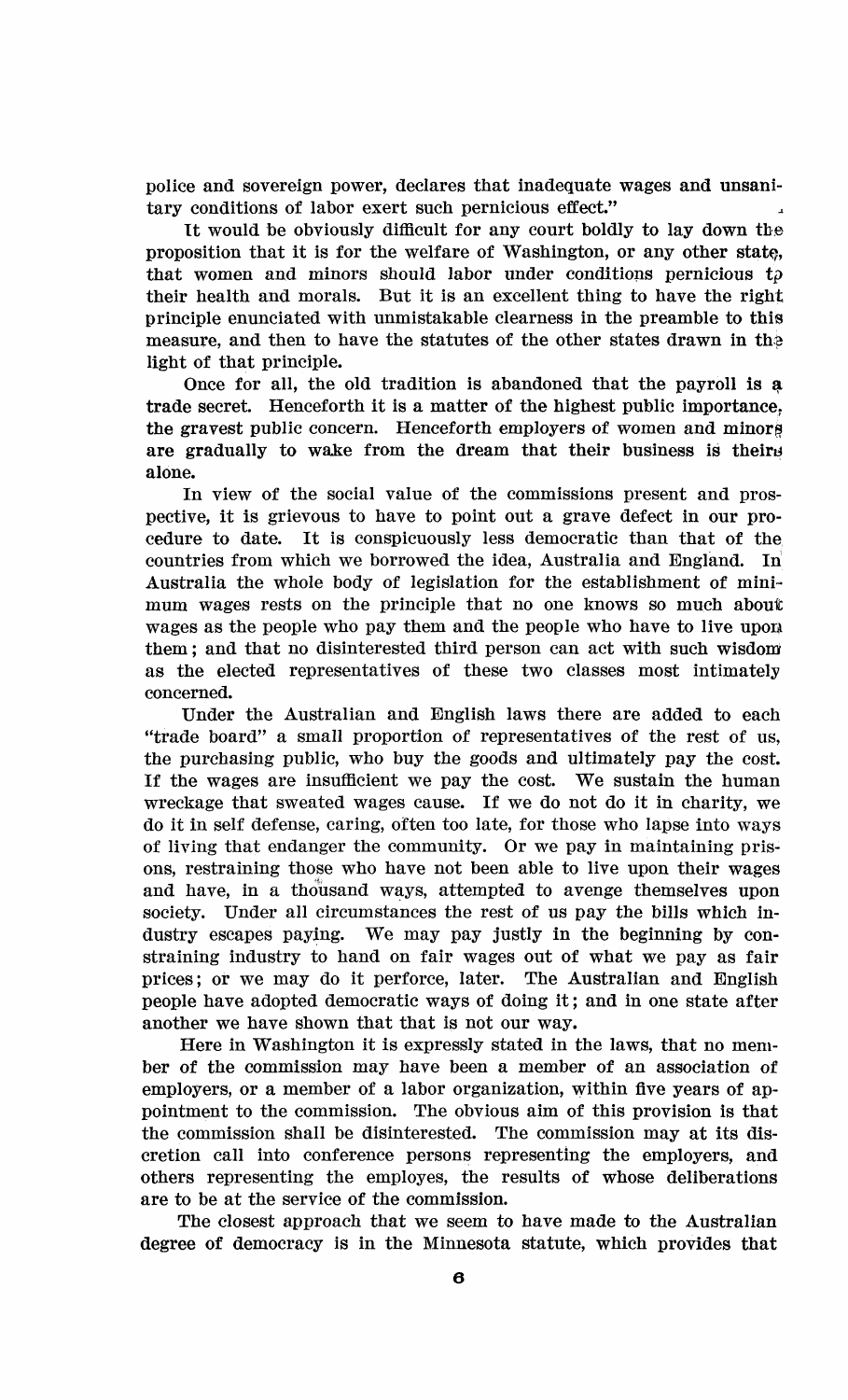police and sovereign power, declares that inadequate wages and unsanitary conditions of labor exert such pernicious effect."

It would be obviously difficult for any court boldly to lay down the proposition that it is for the welfare of Washington, or any other state. that women and minors should labor under conditions pernicious *tp*  their health and morals. But it is an excellent thing to have the right principle enunciated with unmistakable clearness in the preamble to this measure, and then to have the statutes of the other states drawn in the light of that principle.

Once for all, the old tradition is abandoned that the payroll is a trade secret. Henceforth it is a matter of the highest public importance, the gravest public concern. Henceforth employers of women and minora are gradually to wake from the dream that their business is theirs alone.

In view of the social value of the commissions present and prospective, it is grievous to have to point out a grave defect in our procedure to date. It is conspicuously less democratic than that of the countries from which we borrowed the idea, Australia and England. In Australia the whole body of legislation for the establishment of minimum wages rests on the principle that no one knows so much about wages as the people who pay them and the people who have to live upon them; and that no disinterested third person can act with such wisdom as the elected representatives of these two classes most intimately concerned.

Under the Australian and English laws there are added to each "trade board" a small proportion of representatives of the rest of us, the purchasing public, who buy the goods and ultimately pay the cost. If the wages are insufficient we pay the cost. We sustain the human wreckage that sweated wages cause. If we do not do it in charity, we do it in self defense, caring, often too late, for those who lapse into ways of living that endanger the community. Or we pay in maintaining prisons, restraining those who have not been able to live upon their wages and have, in a thousand ways, attempted to avenge themselves upon society. Under all circumstances the rest of us pay the bills which industry escapes paying. We may pay justly in the beginning by constraining industry to hand on fair wages out of what we pay as fair prices; or we may do it perforce, later. The Australian and English people have adopted democratic ways of doing it; and in one state after another we have shown that that is not our way.

Here in Washington it is expressly stated in the laws, that no member of the commission may have been a member of an association of employers, or a member of a labor organization, within five years of appointment to the commission. The obvious aim of this provision is that the commission shall be disinterested. The commission may at its discretion call into conference persons representing the employers, and others representing the employes, the results of whose deliberations are to be at the service of the commission.

The closest approach that we seem to have made to the Australian degree of democracy is in the Minnesota statute, which provides that